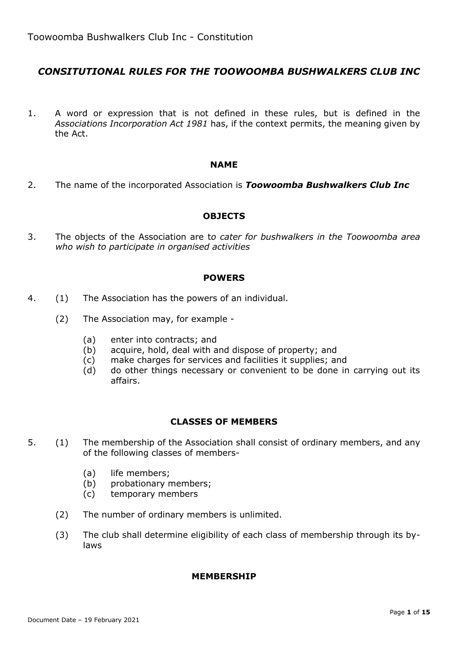# *CONSITUTIONAL RULES FOR THE TOOWOOMBA BUSHWALKERS CLUB INC*

1. A word or expression that is not defined in these rules, but is defined in the *Associations Incorporation Act 1981* has, if the context permits, the meaning given by the Act.

#### **NAME**

2. The name of the incorporated Association is *Toowoomba Bushwalkers Club Inc*

#### **OBJECTS**

3. The objects of the Association are t*o cater for bushwalkers in the Toowoomba area who wish to participate in organised activities*

#### **POWERS**

- 4. (1) The Association has the powers of an individual.
	- (2) The Association may, for example
		- (a) enter into contracts; and
		- (b) acquire, hold, deal with and dispose of property; and
		- (c) make charges for services and facilities it supplies; and
		- (d) do other things necessary or convenient to be done in carrying out its affairs.

#### **CLASSES OF MEMBERS**

- 5. (1) The membership of the Association shall consist of ordinary members, and any of the following classes of members-
	- (a) life members;
	- (b) probationary members;
	- (c) temporary members
	- (2) The number of ordinary members is unlimited.
	- (3) The club shall determine eligibility of each class of membership through its bylaws

#### **MEMBERSHIP**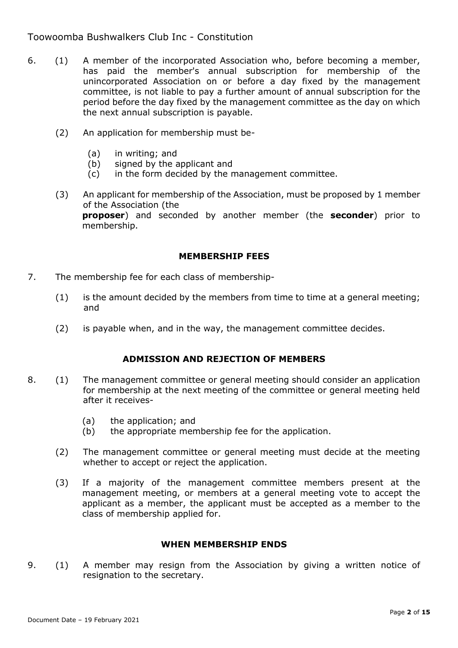- 6. (1) A member of the incorporated Association who, before becoming a member, has paid the member's annual subscription for membership of the unincorporated Association on or before a day fixed by the management committee, is not liable to pay a further amount of annual subscription for the period before the day fixed by the management committee as the day on which the next annual subscription is payable.
	- (2) An application for membership must be-
		- (a) in writing; and
		- (b) signed by the applicant and
		- (c) in the form decided by the management committee.
	- (3) An applicant for membership of the Association, must be proposed by 1 member of the Association (the **proposer**) and seconded by another member (the **seconder**) prior to membership.

#### **MEMBERSHIP FEES**

- 7. The membership fee for each class of membership-
	- (1) is the amount decided by the members from time to time at a general meeting; and
	- (2) is payable when, and in the way, the management committee decides.

### **ADMISSION AND REJECTION OF MEMBERS**

- 8. (1) The management committee or general meeting should consider an application for membership at the next meeting of the committee or general meeting held after it receives-
	- (a) the application; and
	- (b) the appropriate membership fee for the application.
	- (2) The management committee or general meeting must decide at the meeting whether to accept or reject the application.
	- (3) If a majority of the management committee members present at the management meeting, or members at a general meeting vote to accept the applicant as a member, the applicant must be accepted as a member to the class of membership applied for.

#### **WHEN MEMBERSHIP ENDS**

9. (1) A member may resign from the Association by giving a written notice of resignation to the secretary.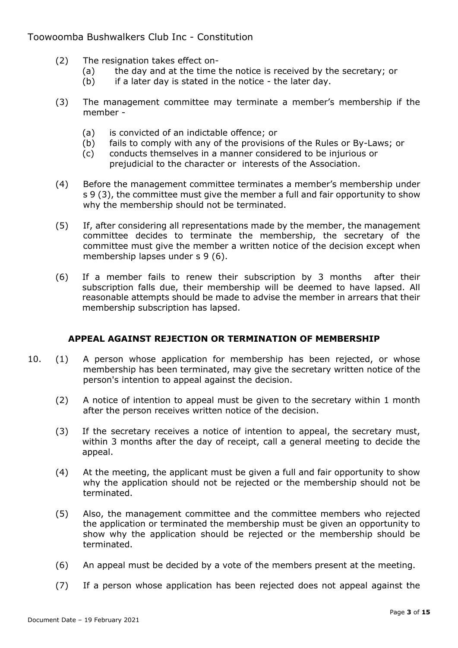- (2) The resignation takes effect on-
	- (a) the day and at the time the notice is received by the secretary; or
	- $(b)$  if a later day is stated in the notice the later day.
- (3) The management committee may terminate a member's membership if the member -
	- (a) is convicted of an indictable offence; or
	- (b) fails to comply with any of the provisions of the Rules or By-Laws; or
	- (c) conducts themselves in a manner considered to be injurious or prejudicial to the character or interests of the Association.
- (4) Before the management committee terminates a member's membership under s 9 (3), the committee must give the member a full and fair opportunity to show why the membership should not be terminated.
- (5) If, after considering all representations made by the member, the management committee decides to terminate the membership, the secretary of the committee must give the member a written notice of the decision except when membership lapses under s 9 (6).
- (6) If a member fails to renew their subscription by 3 months after their subscription falls due, their membership will be deemed to have lapsed. All reasonable attempts should be made to advise the member in arrears that their membership subscription has lapsed.

### **APPEAL AGAINST REJECTION OR TERMINATION OF MEMBERSHIP**

- 10. (1) A person whose application for membership has been rejected, or whose membership has been terminated, may give the secretary written notice of the person's intention to appeal against the decision.
	- (2) A notice of intention to appeal must be given to the secretary within 1 month after the person receives written notice of the decision.
	- (3) If the secretary receives a notice of intention to appeal, the secretary must, within 3 months after the day of receipt, call a general meeting to decide the appeal.
	- (4) At the meeting, the applicant must be given a full and fair opportunity to show why the application should not be rejected or the membership should not be terminated.
	- (5) Also, the management committee and the committee members who rejected the application or terminated the membership must be given an opportunity to show why the application should be rejected or the membership should be terminated.
	- (6) An appeal must be decided by a vote of the members present at the meeting.
	- (7) If a person whose application has been rejected does not appeal against the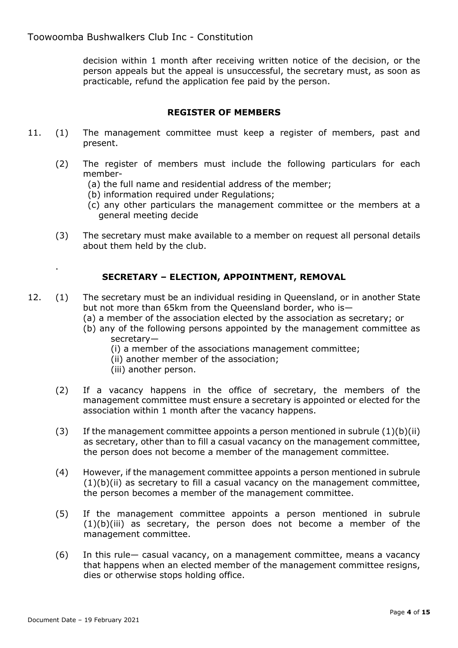decision within 1 month after receiving written notice of the decision, or the person appeals but the appeal is unsuccessful, the secretary must, as soon as practicable, refund the application fee paid by the person.

# **REGISTER OF MEMBERS**

- 11. (1) The management committee must keep a register of members, past and present.
	- (2) The register of members must include the following particulars for each member-
		- (a) the full name and residential address of the member;
		- (b) information required under Regulations;
		- (c) any other particulars the management committee or the members at a general meeting decide
	- (3) The secretary must make available to a member on request all personal details about them held by the club.

# **SECRETARY – ELECTION, APPOINTMENT, REMOVAL**

- 12. (1) The secretary must be an individual residing in Queensland, or in another State but not more than 65km from the Queensland border, who is—
	- (a) a member of the association elected by the association as secretary; or
	- (b) any of the following persons appointed by the management committee as secretary—
		- (i) a member of the associations management committee;
		- (ii) another member of the association;
		- (iii) another person.
	- (2) If a vacancy happens in the office of secretary, the members of the management committee must ensure a secretary is appointed or elected for the association within 1 month after the vacancy happens.
	- (3) If the management committee appoints a person mentioned in subrule  $(1)(b)(ii)$ as secretary, other than to fill a casual vacancy on the management committee, the person does not become a member of the management committee.
	- (4) However, if the management committee appoints a person mentioned in subrule  $(1)(b)(ii)$  as secretary to fill a casual vacancy on the management committee, the person becomes a member of the management committee.
	- (5) If the management committee appoints a person mentioned in subrule  $(1)(b)(iii)$  as secretary, the person does not become a member of the management committee.
	- (6) In this rule— casual vacancy, on a management committee, means a vacancy that happens when an elected member of the management committee resigns, dies or otherwise stops holding office.

.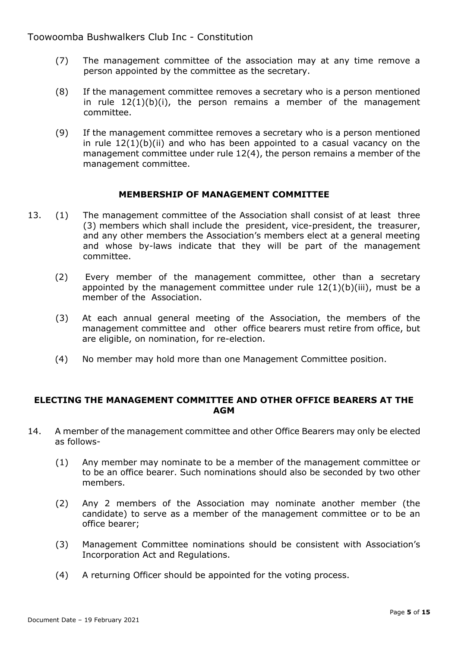- (7) The management committee of the association may at any time remove a person appointed by the committee as the secretary.
- (8) If the management committee removes a secretary who is a person mentioned in rule  $12(1)(b)(i)$ , the person remains a member of the management committee.
- (9) If the management committee removes a secretary who is a person mentioned in rule  $12(1)(b)(ii)$  and who has been appointed to a casual vacancy on the management committee under rule 12(4), the person remains a member of the management committee.

#### **MEMBERSHIP OF MANAGEMENT COMMITTEE**

- 13. (1) The management committee of the Association shall consist of at least three (3) members which shall include the president, vice-president, the treasurer, and any other members the Association's members elect at a general meeting and whose by-laws indicate that they will be part of the management committee.
	- (2) Every member of the management committee, other than a secretary appointed by the management committee under rule  $12(1)(b)(iii)$ , must be a member of the Association.
	- (3) At each annual general meeting of the Association, the members of the management committee and other office bearers must retire from office, but are eligible, on nomination, for re-election.
	- (4) No member may hold more than one Management Committee position.

#### **ELECTING THE MANAGEMENT COMMITTEE AND OTHER OFFICE BEARERS AT THE AGM**

- 14. A member of the management committee and other Office Bearers may only be elected as follows-
	- (1) Any member may nominate to be a member of the management committee or to be an office bearer. Such nominations should also be seconded by two other members.
	- (2) Any 2 members of the Association may nominate another member (the candidate) to serve as a member of the management committee or to be an office bearer;
	- (3) Management Committee nominations should be consistent with Association's Incorporation Act and Regulations.
	- (4) A returning Officer should be appointed for the voting process.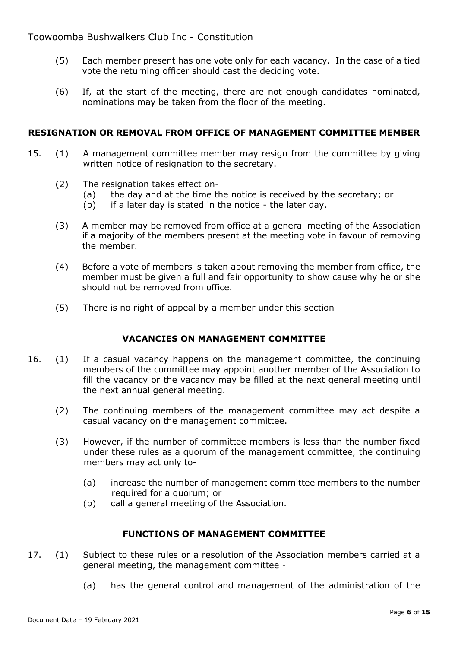- (5) Each member present has one vote only for each vacancy. In the case of a tied vote the returning officer should cast the deciding vote.
- (6) If, at the start of the meeting, there are not enough candidates nominated, nominations may be taken from the floor of the meeting.

### **RESIGNATION OR REMOVAL FROM OFFICE OF MANAGEMENT COMMITTEE MEMBER**

- 15. (1) A management committee member may resign from the committee by giving written notice of resignation to the secretary.
	- (2) The resignation takes effect on-
		- (a) the day and at the time the notice is received by the secretary; or
		- (b) if a later day is stated in the notice the later day.
	- (3) A member may be removed from office at a general meeting of the Association if a majority of the members present at the meeting vote in favour of removing the member.
	- (4) Before a vote of members is taken about removing the member from office, the member must be given a full and fair opportunity to show cause why he or she should not be removed from office.
	- (5) There is no right of appeal by a member under this section

### **VACANCIES ON MANAGEMENT COMMITTEE**

- 16. (1) If a casual vacancy happens on the management committee, the continuing members of the committee may appoint another member of the Association to fill the vacancy or the vacancy may be filled at the next general meeting until the next annual general meeting.
	- (2) The continuing members of the management committee may act despite a casual vacancy on the management committee.
	- (3) However, if the number of committee members is less than the number fixed under these rules as a quorum of the management committee, the continuing members may act only to-
		- (a) increase the number of management committee members to the number required for a quorum; or
		- (b) call a general meeting of the Association.

### **FUNCTIONS OF MANAGEMENT COMMITTEE**

- 17. (1) Subject to these rules or a resolution of the Association members carried at a general meeting, the management committee -
	- (a) has the general control and management of the administration of the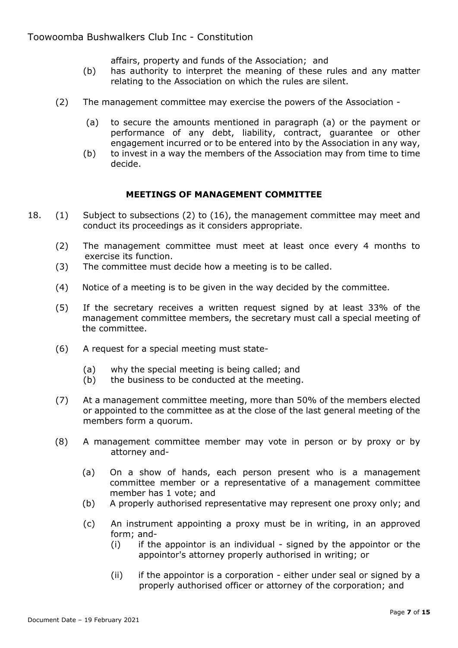affairs, property and funds of the Association; and

- (b) has authority to interpret the meaning of these rules and any matter relating to the Association on which the rules are silent.
- (2) The management committee may exercise the powers of the Association
	- (a) to secure the amounts mentioned in paragraph (a) or the payment or performance of any debt, liability, contract, guarantee or other engagement incurred or to be entered into by the Association in any way,
	- (b) to invest in a way the members of the Association may from time to time decide.

### **MEETINGS OF MANAGEMENT COMMITTEE**

- 18. (1) Subject to subsections (2) to (16), the management committee may meet and conduct its proceedings as it considers appropriate.
	- (2) The management committee must meet at least once every 4 months to exercise its function.
	- (3) The committee must decide how a meeting is to be called.
	- (4) Notice of a meeting is to be given in the way decided by the committee.
	- (5) If the secretary receives a written request signed by at least 33% of the management committee members, the secretary must call a special meeting of the committee.
	- (6) A request for a special meeting must state-
		- (a) why the special meeting is being called; and
		- (b) the business to be conducted at the meeting.
	- (7) At a management committee meeting, more than 50% of the members elected or appointed to the committee as at the close of the last general meeting of the members form a quorum.
	- (8) A management committee member may vote in person or by proxy or by attorney and-
		- (a) On a show of hands, each person present who is a management committee member or a representative of a management committee member has 1 vote; and
		- (b) A properly authorised representative may represent one proxy only; and
		- (c) An instrument appointing a proxy must be in writing, in an approved form; and-
			- (i) if the appointor is an individual signed by the appointor or the appointor's attorney properly authorised in writing; or
			- (ii) if the appointor is a corporation either under seal or signed by a properly authorised officer or attorney of the corporation; and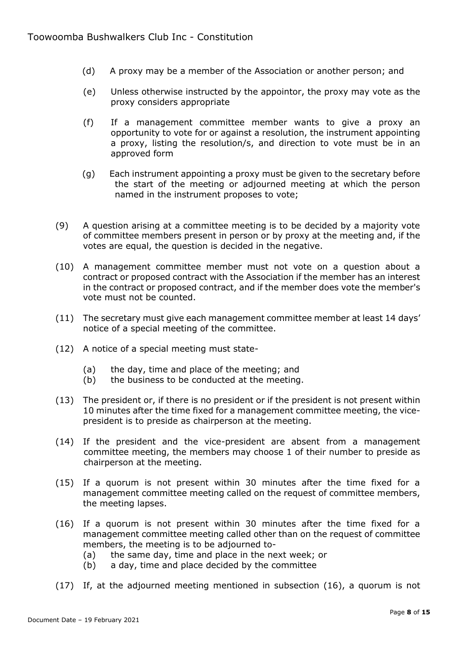- (d) A proxy may be a member of the Association or another person; and
- (e) Unless otherwise instructed by the appointor, the proxy may vote as the proxy considers appropriate
- (f) If a management committee member wants to give a proxy an opportunity to vote for or against a resolution, the instrument appointing a proxy, listing the resolution/s, and direction to vote must be in an approved form
- (g) Each instrument appointing a proxy must be given to the secretary before the start of the meeting or adjourned meeting at which the person named in the instrument proposes to vote;
- (9) A question arising at a committee meeting is to be decided by a majority vote of committee members present in person or by proxy at the meeting and, if the votes are equal, the question is decided in the negative.
- (10) A management committee member must not vote on a question about a contract or proposed contract with the Association if the member has an interest in the contract or proposed contract, and if the member does vote the member's vote must not be counted.
- (11) The secretary must give each management committee member at least 14 days' notice of a special meeting of the committee.
- (12) A notice of a special meeting must state-
	- (a) the day, time and place of the meeting; and
	- (b) the business to be conducted at the meeting.
- (13) The president or, if there is no president or if the president is not present within 10 minutes after the time fixed for a management committee meeting, the vicepresident is to preside as chairperson at the meeting.
- (14) If the president and the vice-president are absent from a management committee meeting, the members may choose 1 of their number to preside as chairperson at the meeting.
- (15) If a quorum is not present within 30 minutes after the time fixed for a management committee meeting called on the request of committee members, the meeting lapses.
- (16) If a quorum is not present within 30 minutes after the time fixed for a management committee meeting called other than on the request of committee members, the meeting is to be adjourned to-
	- (a) the same day, time and place in the next week; or
	- (b) a day, time and place decided by the committee
- (17) If, at the adjourned meeting mentioned in subsection (16), a quorum is not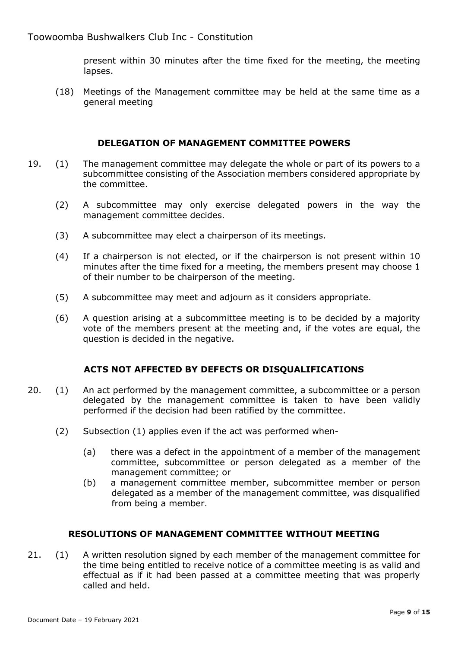present within 30 minutes after the time fixed for the meeting, the meeting lapses.

(18) Meetings of the Management committee may be held at the same time as a general meeting

#### **DELEGATION OF MANAGEMENT COMMITTEE POWERS**

- 19. (1) The management committee may delegate the whole or part of its powers to a subcommittee consisting of the Association members considered appropriate by the committee.
	- (2) A subcommittee may only exercise delegated powers in the way the management committee decides.
	- (3) A subcommittee may elect a chairperson of its meetings.
	- (4) If a chairperson is not elected, or if the chairperson is not present within 10 minutes after the time fixed for a meeting, the members present may choose 1 of their number to be chairperson of the meeting.
	- (5) A subcommittee may meet and adjourn as it considers appropriate.
	- (6) A question arising at a subcommittee meeting is to be decided by a majority vote of the members present at the meeting and, if the votes are equal, the question is decided in the negative.

### **ACTS NOT AFFECTED BY DEFECTS OR DISQUALIFICATIONS**

- 20. (1) An act performed by the management committee, a subcommittee or a person delegated by the management committee is taken to have been validly performed if the decision had been ratified by the committee.
	- (2) Subsection (1) applies even if the act was performed when-
		- (a) there was a defect in the appointment of a member of the management committee, subcommittee or person delegated as a member of the management committee; or
		- (b) a management committee member, subcommittee member or person delegated as a member of the management committee, was disqualified from being a member.

### **RESOLUTIONS OF MANAGEMENT COMMITTEE WITHOUT MEETING**

21. (1) A written resolution signed by each member of the management committee for the time being entitled to receive notice of a committee meeting is as valid and effectual as if it had been passed at a committee meeting that was properly called and held.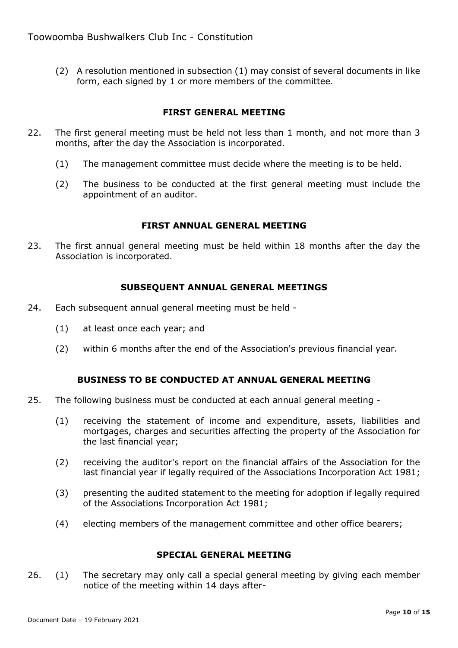(2) A resolution mentioned in subsection (1) may consist of several documents in like form, each signed by 1 or more members of the committee.

### **FIRST GENERAL MEETING**

- 22. The first general meeting must be held not less than 1 month, and not more than 3 months, after the day the Association is incorporated.
	- (1) The management committee must decide where the meeting is to be held.
	- (2) The business to be conducted at the first general meeting must include the appointment of an auditor.

#### **FIRST ANNUAL GENERAL MEETING**

23. The first annual general meeting must be held within 18 months after the day the Association is incorporated.

#### **SUBSEQUENT ANNUAL GENERAL MEETINGS**

- 24. Each subsequent annual general meeting must be held
	- (1) at least once each year; and
	- (2) within 6 months after the end of the Association's previous financial year.

### **BUSINESS TO BE CONDUCTED AT ANNUAL GENERAL MEETING**

- 25. The following business must be conducted at each annual general meeting
	- (1) receiving the statement of income and expenditure, assets, liabilities and mortgages, charges and securities affecting the property of the Association for the last financial year;
	- (2) receiving the auditor's report on the financial affairs of the Association for the last financial year if legally required of the Associations Incorporation Act 1981;
	- (3) presenting the audited statement to the meeting for adoption if legally required of the Associations Incorporation Act 1981;
	- (4) electing members of the management committee and other office bearers;

### **SPECIAL GENERAL MEETING**

26. (1) The secretary may only call a special general meeting by giving each member notice of the meeting within 14 days after-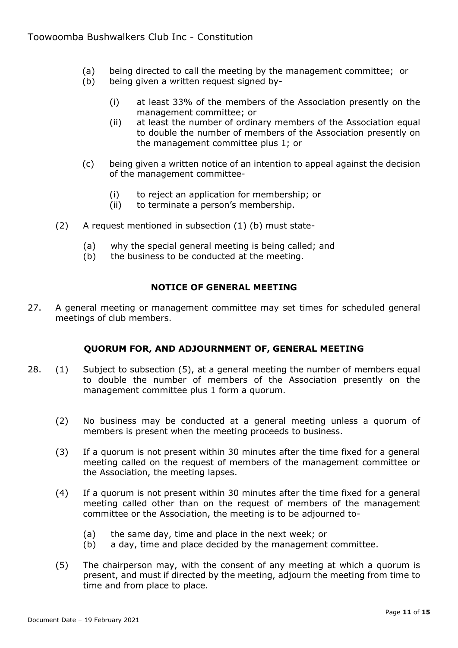- (a) being directed to call the meeting by the management committee; or
- (b) being given a written request signed by-
	- (i) at least 33% of the members of the Association presently on the management committee; or
	- (ii) at least the number of ordinary members of the Association equal to double the number of members of the Association presently on the management committee plus 1; or
- (c) being given a written notice of an intention to appeal against the decision of the management committee-
	- (i) to reject an application for membership; or
	- (ii) to terminate a person's membership.
- (2) A request mentioned in subsection (1) (b) must state-
	- (a) why the special general meeting is being called; and
	- (b) the business to be conducted at the meeting.

### **NOTICE OF GENERAL MEETING**

27. A general meeting or management committee may set times for scheduled general meetings of club members.

### **QUORUM FOR, AND ADJOURNMENT OF, GENERAL MEETING**

- 28. (1) Subject to subsection (5), at a general meeting the number of members equal to double the number of members of the Association presently on the management committee plus 1 form a quorum.
	- (2) No business may be conducted at a general meeting unless a quorum of members is present when the meeting proceeds to business.
	- (3) If a quorum is not present within 30 minutes after the time fixed for a general meeting called on the request of members of the management committee or the Association, the meeting lapses.
	- (4) If a quorum is not present within 30 minutes after the time fixed for a general meeting called other than on the request of members of the management committee or the Association, the meeting is to be adjourned to-
		- (a) the same day, time and place in the next week; or
		- (b) a day, time and place decided by the management committee.
	- (5) The chairperson may, with the consent of any meeting at which a quorum is present, and must if directed by the meeting, adjourn the meeting from time to time and from place to place.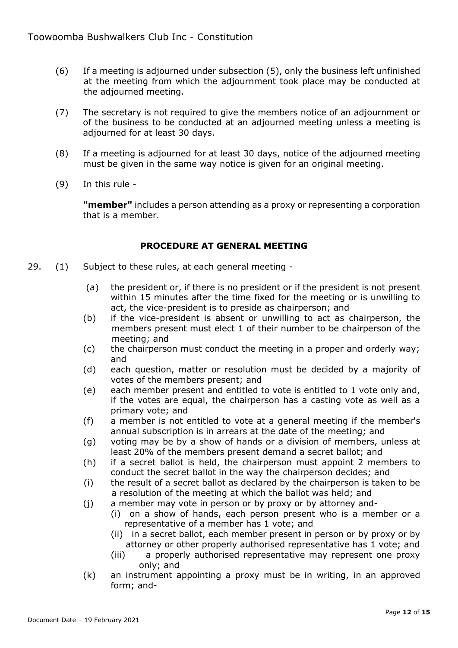- (6) If a meeting is adjourned under subsection (5), only the business left unfinished at the meeting from which the adjournment took place may be conducted at the adjourned meeting.
- (7) The secretary is not required to give the members notice of an adjournment or of the business to be conducted at an adjourned meeting unless a meeting is adjourned for at least 30 days.
- (8) If a meeting is adjourned for at least 30 days, notice of the adjourned meeting must be given in the same way notice is given for an original meeting.
- (9) In this rule -

**"member"** includes a person attending as a proxy or representing a corporation that is a member.

### **PROCEDURE AT GENERAL MEETING**

- 29. (1) Subject to these rules, at each general meeting -
	- (a) the president or, if there is no president or if the president is not present within 15 minutes after the time fixed for the meeting or is unwilling to act, the vice-president is to preside as chairperson; and
	- (b) if the vice-president is absent or unwilling to act as chairperson, the members present must elect 1 of their number to be chairperson of the meeting; and
	- (c) the chairperson must conduct the meeting in a proper and orderly way; and
	- (d) each question, matter or resolution must be decided by a majority of votes of the members present; and
	- (e) each member present and entitled to vote is entitled to 1 vote only and, if the votes are equal, the chairperson has a casting vote as well as a primary vote; and
	- (f) a member is not entitled to vote at a general meeting if the member's annual subscription is in arrears at the date of the meeting; and
	- (g) voting may be by a show of hands or a division of members, unless at least 20% of the members present demand a secret ballot; and
	- (h) if a secret ballot is held, the chairperson must appoint 2 members to conduct the secret ballot in the way the chairperson decides; and
	- (i) the result of a secret ballot as declared by the chairperson is taken to be a resolution of the meeting at which the ballot was held; and
	- (j) a member may vote in person or by proxy or by attorney and-
		- (i) on a show of hands, each person present who is a member or a representative of a member has 1 vote; and
		- (ii) in a secret ballot, each member present in person or by proxy or by attorney or other properly authorised representative has 1 vote; and
		- (iii) a properly authorised representative may represent one proxy only; and
	- (k) an instrument appointing a proxy must be in writing, in an approved form; and-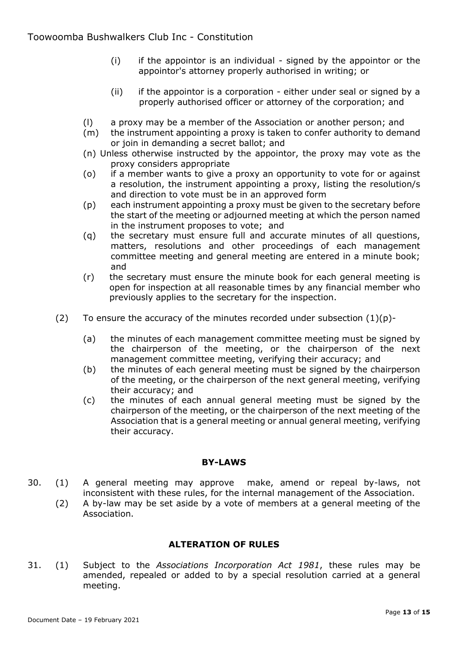- (i) if the appointor is an individual signed by the appointor or the appointor's attorney properly authorised in writing; or
- (ii) if the appointor is a corporation either under seal or signed by a properly authorised officer or attorney of the corporation; and
- (l) a proxy may be a member of the Association or another person; and
- (m) the instrument appointing a proxy is taken to confer authority to demand or join in demanding a secret ballot; and
- (n) Unless otherwise instructed by the appointor, the proxy may vote as the proxy considers appropriate
- (o) if a member wants to give a proxy an opportunity to vote for or against a resolution, the instrument appointing a proxy, listing the resolution/s and direction to vote must be in an approved form
- (p) each instrument appointing a proxy must be given to the secretary before the start of the meeting or adjourned meeting at which the person named in the instrument proposes to vote; and
- (q) the secretary must ensure full and accurate minutes of all questions, matters, resolutions and other proceedings of each management committee meeting and general meeting are entered in a minute book; and
- (r) the secretary must ensure the minute book for each general meeting is open for inspection at all reasonable times by any financial member who previously applies to the secretary for the inspection.
- (2) To ensure the accuracy of the minutes recorded under subsection  $(1)(p)$ -
	- (a) the minutes of each management committee meeting must be signed by the chairperson of the meeting, or the chairperson of the next management committee meeting, verifying their accuracy; and
	- (b) the minutes of each general meeting must be signed by the chairperson of the meeting, or the chairperson of the next general meeting, verifying their accuracy; and
	- (c) the minutes of each annual general meeting must be signed by the chairperson of the meeting, or the chairperson of the next meeting of the Association that is a general meeting or annual general meeting, verifying their accuracy.

#### **BY-LAWS**

- 30. (1) A general meeting may approve make, amend or repeal by-laws, not inconsistent with these rules, for the internal management of the Association.
	- (2) A by-law may be set aside by a vote of members at a general meeting of the Association.

### **ALTERATION OF RULES**

31. (1) Subject to the *Associations Incorporation Act 1981*, these rules may be amended, repealed or added to by a special resolution carried at a general meeting.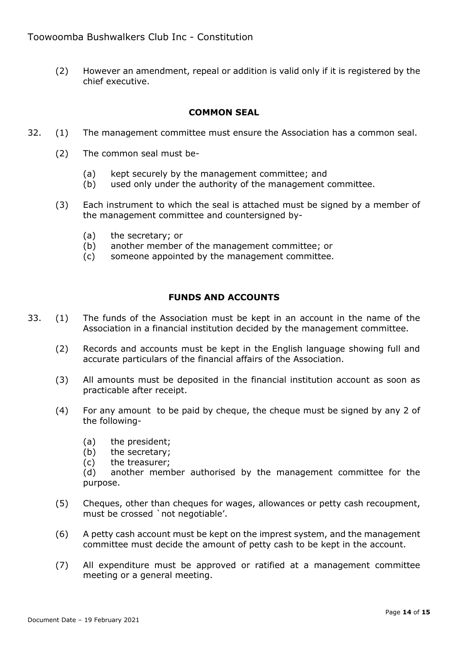(2) However an amendment, repeal or addition is valid only if it is registered by the chief executive.

#### **COMMON SEAL**

- 32. (1) The management committee must ensure the Association has a common seal.
	- (2) The common seal must be-
		- (a) kept securely by the management committee; and
		- (b) used only under the authority of the management committee.
	- (3) Each instrument to which the seal is attached must be signed by a member of the management committee and countersigned by-
		- (a) the secretary; or
		- (b) another member of the management committee; or
		- (c) someone appointed by the management committee.

#### **FUNDS AND ACCOUNTS**

- 33. (1) The funds of the Association must be kept in an account in the name of the Association in a financial institution decided by the management committee.
	- (2) Records and accounts must be kept in the English language showing full and accurate particulars of the financial affairs of the Association.
	- (3) All amounts must be deposited in the financial institution account as soon as practicable after receipt.
	- (4) For any amount to be paid by cheque, the cheque must be signed by any 2 of the following-
		- (a) the president;
		- (b) the secretary;
		- (c) the treasurer;

(d) another member authorised by the management committee for the purpose.

- (5) Cheques, other than cheques for wages, allowances or petty cash recoupment, must be crossed `not negotiable'.
- (6) A petty cash account must be kept on the imprest system, and the management committee must decide the amount of petty cash to be kept in the account.
- (7) All expenditure must be approved or ratified at a management committee meeting or a general meeting.